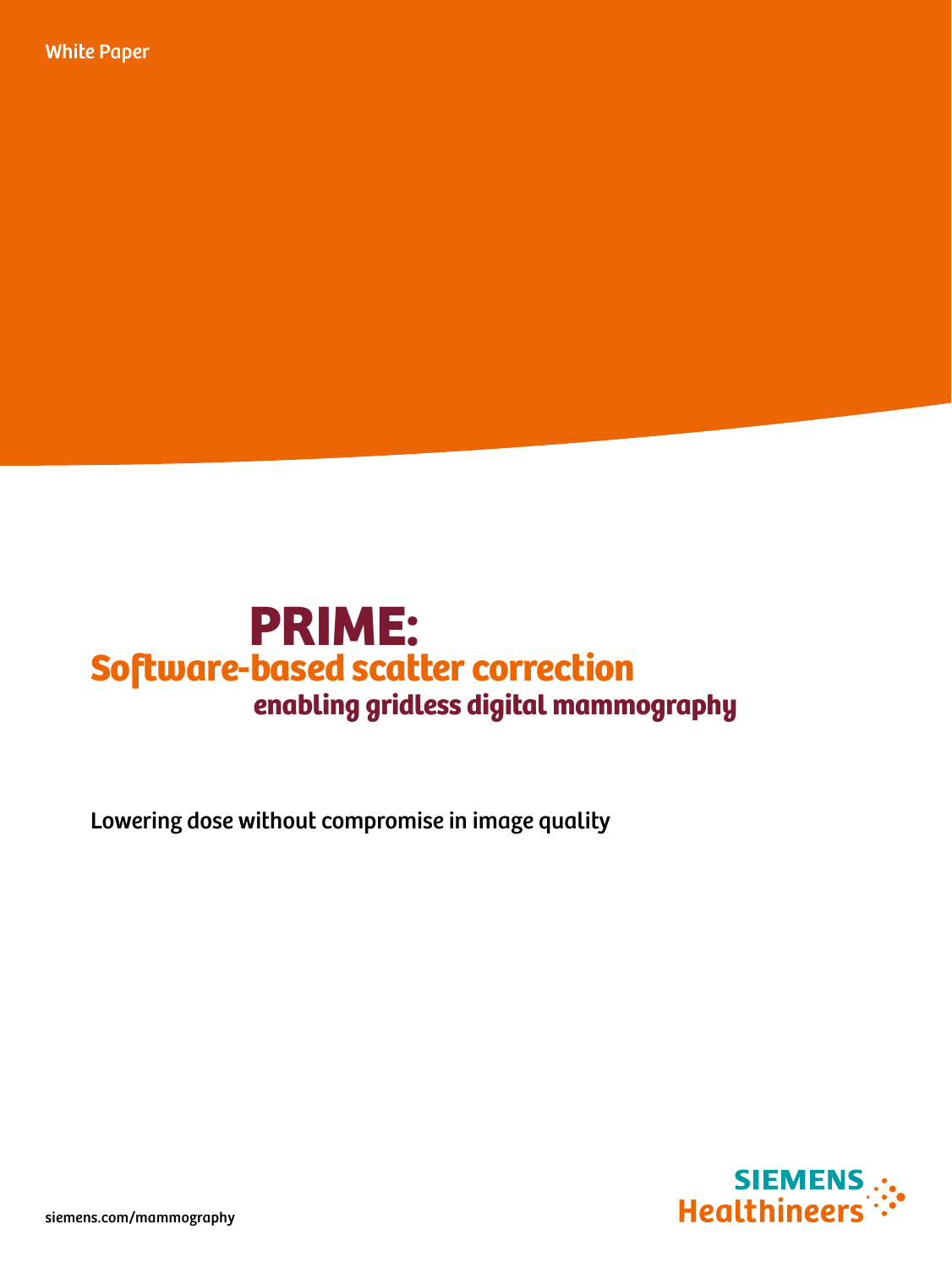White Paper



Lowering dose without compromise in image quality



siemens.com/mammography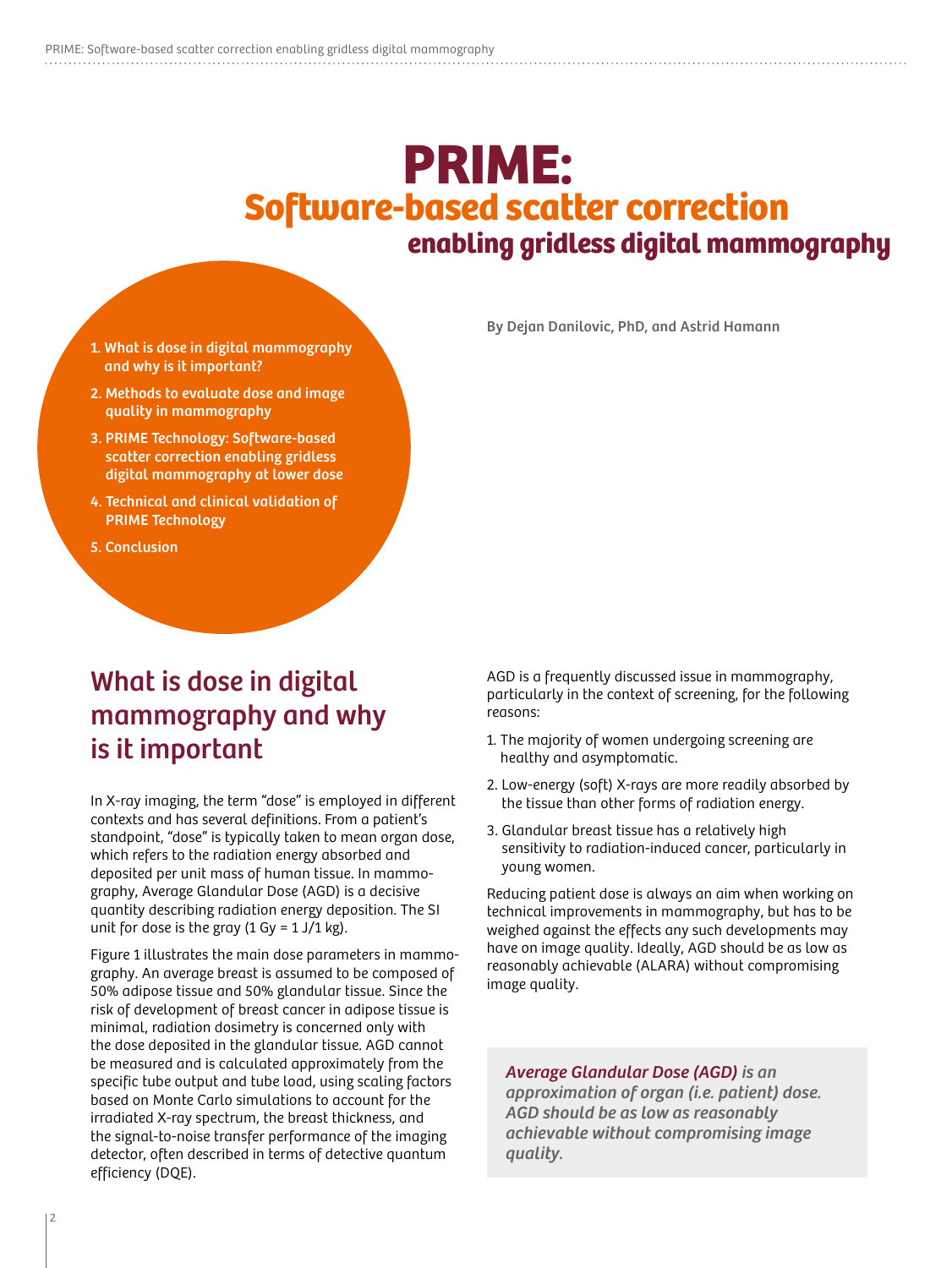# PRIME: enabling gridless digital mammography Software-based scatter correction

By Dejan Danilovic, PhD, and Astrid Hamann

- 1. What is dose in digital mammography and why is it important?
- 2. Methods to evaluate dose and image quality in mammography
- 3. PRIME Technology: Software-based scatter correction enabling gridless digital mammography at lower dose
- 4. Technical and clinical validation of PRIME Technology
- 5. Conclusion

### What is dose in digital mammography and why is it important

In X-ray imaging, the term "dose" is employed in different contexts and has several definitions. From a patient's standpoint, "dose" is typically taken to mean organ dose, which refers to the radiation energy absorbed and deposited per unit mass of human tissue. In mammography, Average Glandular Dose (AGD) is a decisive quantity describing radiation energy deposition. The SI unit for dose is the gray  $(1 Gy = 1 J/1 kg)$ .

Figure 1 illustrates the main dose parameters in mammography. An average breast is assumed to be composed of 50% adipose tissue and 50% glandular tissue. Since the risk of development of breast cancer in adipose tissue is minimal, radiation dosimetry is concerned only with the dose deposited in the glandular tissue. AGD cannot be measured and is calculated approximately from the specific tube output and tube load, using scaling factors based on Monte Carlo simulations to account for the irradiated X-ray spectrum, the breast thickness, and the signal-to-noise transfer performance of the imaging detector, often described in terms of detective quantum efficiency (DQE).

AGD is a frequently discussed issue in mammography, particularly in the context of screening, for the following reasons:

- 1. The majority of women undergoing screening are healthy and asymptomatic.
- 2. Low-energy (soft) X-rays are more readily absorbed by the tissue than other forms of radiation energy.
- 3. Glandular breast tissue has a relatively high sensitivity to radiation-induced cancer, particularly in young women.

Reducing patient dose is always an aim when working on technical improvements in mammography, but has to be weighed against the effects any such developments may have on image quality. Ideally, AGD should be as low as reasonably achievable (ALARA) without compromising image quality.

Average Glandular Dose (AGD) is an approximation of organ (i.e. patient) dose. AGD should be as low as reasonably achievable without compromising image quality.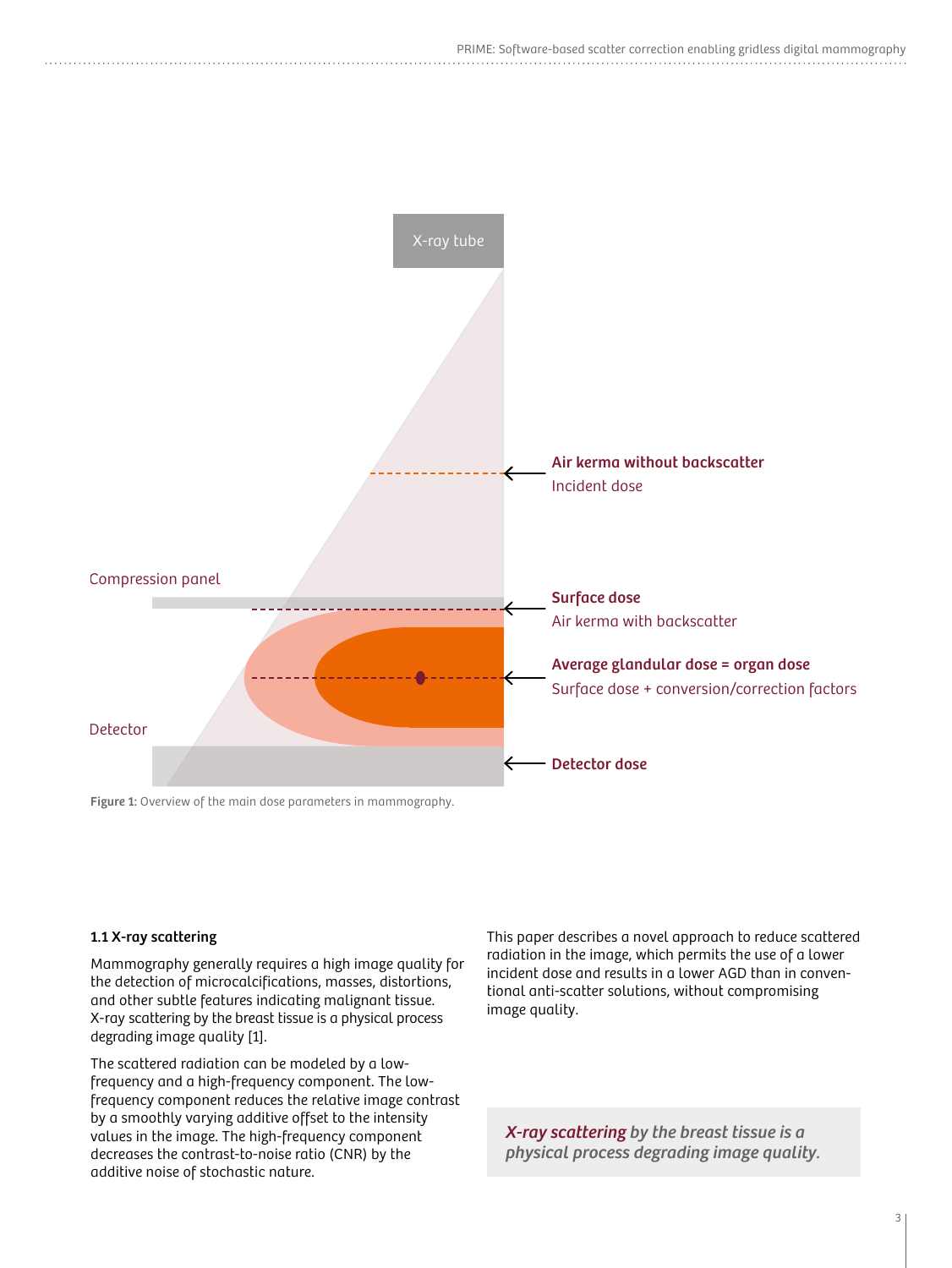

### 1.1 X-ray scattering

Mammography generally requires a high image quality for the detection of microcalcifications, masses, distortions, and other subtle features indicating malignant tissue. X-ray scattering by the breast tissue is a physical process degrading image quality [1].

The scattered radiation can be modeled by a lowfrequency and a high-frequency component. The lowfrequency component reduces the relative image contrast by a smoothly varying additive offset to the intensity values in the image. The high-frequency component decreases the contrast-to-noise ratio (CNR) by the additive noise of stochastic nature.

This paper describes a novel approach to reduce scattered radiation in the image, which permits the use of a lower incident dose and results in a lower AGD than in conventional anti-scatter solutions, without compromising image quality.

X-ray scattering by the breast tissue is a physical process degrading image quality.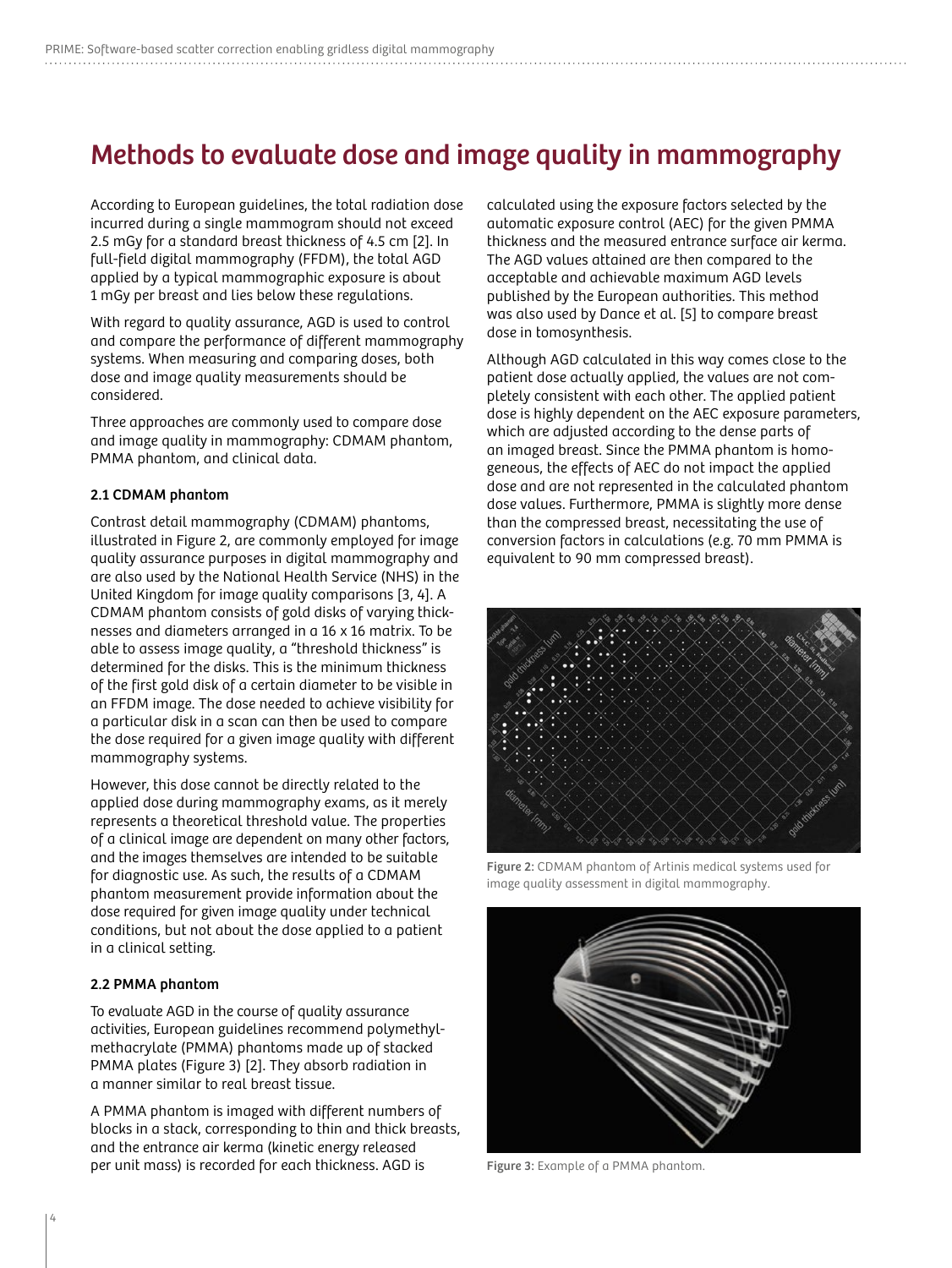### Methods to evaluate dose and image quality in mammography

According to European guidelines, the total radiation dose incurred during a single mammogram should not exceed 2.5 mGy for a standard breast thickness of 4.5 cm [2]. In full-field digital mammography (FFDM), the total AGD applied by a typical mammographic exposure is about 1 mGy per breast and lies below these regulations.

With regard to quality assurance, AGD is used to control and compare the performance of different mammography systems. When measuring and comparing doses, both dose and image quality measurements should be considered.

Three approaches are commonly used to compare dose and image quality in mammography: CDMAM phantom, PMMA phantom, and clinical data.

#### 2.1 CDMAM phantom

Contrast detail mammography (CDMAM) phantoms, illustrated in Figure 2, are commonly employed for image quality assurance purposes in digital mammography and are also used by the National Health Service (NHS) in the United Kingdom for image quality comparisons [3, 4]. A CDMAM phantom consists of gold disks of varying thicknesses and diameters arranged in a 16 x 16 matrix. To be able to assess image quality, a "threshold thickness" is determined for the disks. This is the minimum thickness of the first gold disk of a certain diameter to be visible in an FFDM image. The dose needed to achieve visibility for a particular disk in a scan can then be used to compare the dose required for a given image quality with different mammography systems.

However, this dose cannot be directly related to the applied dose during mammography exams, as it merely represents a theoretical threshold value. The properties of a clinical image are dependent on many other factors, and the images themselves are intended to be suitable for diagnostic use. As such, the results of a CDMAM phantom measurement provide information about the dose required for given image quality under technical conditions, but not about the dose applied to a patient in a clinical setting.

#### 2.2 PMMA phantom

To evaluate AGD in the course of quality assurance activities, European guidelines recommend polymethylmethacrylate (PMMA) phantoms made up of stacked PMMA plates (Figure 3) [2]. They absorb radiation in a manner similar to real breast tissue.

A PMMA phantom is imaged with different numbers of blocks in a stack, corresponding to thin and thick breasts, and the entrance air kerma (kinetic energy released per unit mass) is recorded for each thickness. AGD is

calculated using the exposure factors selected by the automatic exposure control (AEC) for the given PMMA thickness and the measured entrance surface air kerma. The AGD values attained are then compared to the acceptable and achievable maximum AGD levels published by the European authorities. This method was also used by Dance et al. [5] to compare breast dose in tomosynthesis.

Although AGD calculated in this way comes close to the patient dose actually applied, the values are not completely consistent with each other. The applied patient dose is highly dependent on the AEC exposure parameters, which are adjusted according to the dense parts of an imaged breast. Since the PMMA phantom is homogeneous, the effects of AEC do not impact the applied dose and are not represented in the calculated phantom dose values. Furthermore, PMMA is slightly more dense than the compressed breast, necessitating the use of conversion factors in calculations (e.g. 70 mm PMMA is equivalent to 90 mm compressed breast).



Figure 2: CDMAM phantom of Artinis medical systems used for image quality assessment in digital mammography.



Figure 3: Example of a PMMA phantom.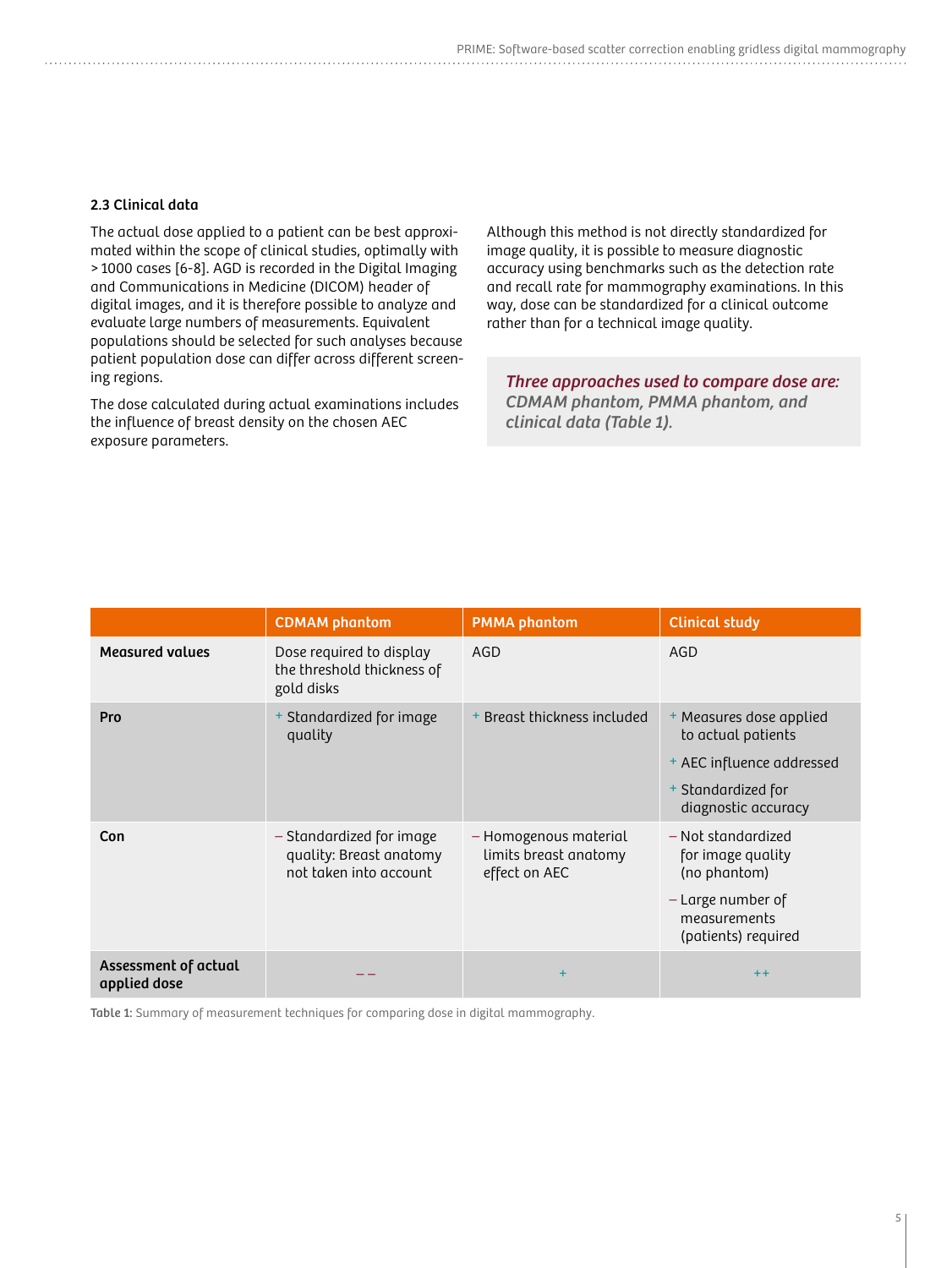#### 2.3 Clinical data

The actual dose applied to a patient can be best approximated within the scope of clinical studies, optimally with > 1000 cases [6-8]. AGD is recorded in the Digital Imaging and Communications in Medicine (DICOM) header of digital images, and it is therefore possible to analyze and evaluate large numbers of measurements. Equivalent populations should be selected for such analyses because patient population dose can differ across different screening regions.

The dose calculated during actual examinations includes the influence of breast density on the chosen AEC exposure parameters.

Although this method is not directly standardized for image quality, it is possible to measure diagnostic accuracy using benchmarks such as the detection rate and recall rate for mammography examinations. In this way, dose can be standardized for a clinical outcome rather than for a technical image quality.

Three approaches used to compare dose are: CDMAM phantom, PMMA phantom, and clinical data (Table 1).

|                                      | <b>CDMAM</b> phantom                                                          | <b>PMMA</b> phantom                                             | <b>Clinical study</b>                                                                                                   |
|--------------------------------------|-------------------------------------------------------------------------------|-----------------------------------------------------------------|-------------------------------------------------------------------------------------------------------------------------|
| <b>Measured values</b>               | Dose required to display<br>the threshold thickness of<br>gold disks          | AGD                                                             | AGD                                                                                                                     |
| Pro                                  | + Standardized for image<br>quality                                           | + Breast thickness included                                     | + Measures dose applied<br>to actual patients<br>+ AEC influence addressed<br>+ Standardized for<br>diagnostic accuracy |
| Con                                  | - Standardized for image<br>quality: Breast anatomy<br>not taken into account | - Homogenous material<br>limits breast anatomy<br>effect on AEC | - Not standardized<br>for image quality<br>(no phantom)<br>- Large number of<br>measurements<br>(patients) required     |
| Assessment of actual<br>applied dose |                                                                               | $\ddot{}$                                                       | $++$                                                                                                                    |

Table 1: Summary of measurement techniques for comparing dose in digital mammography.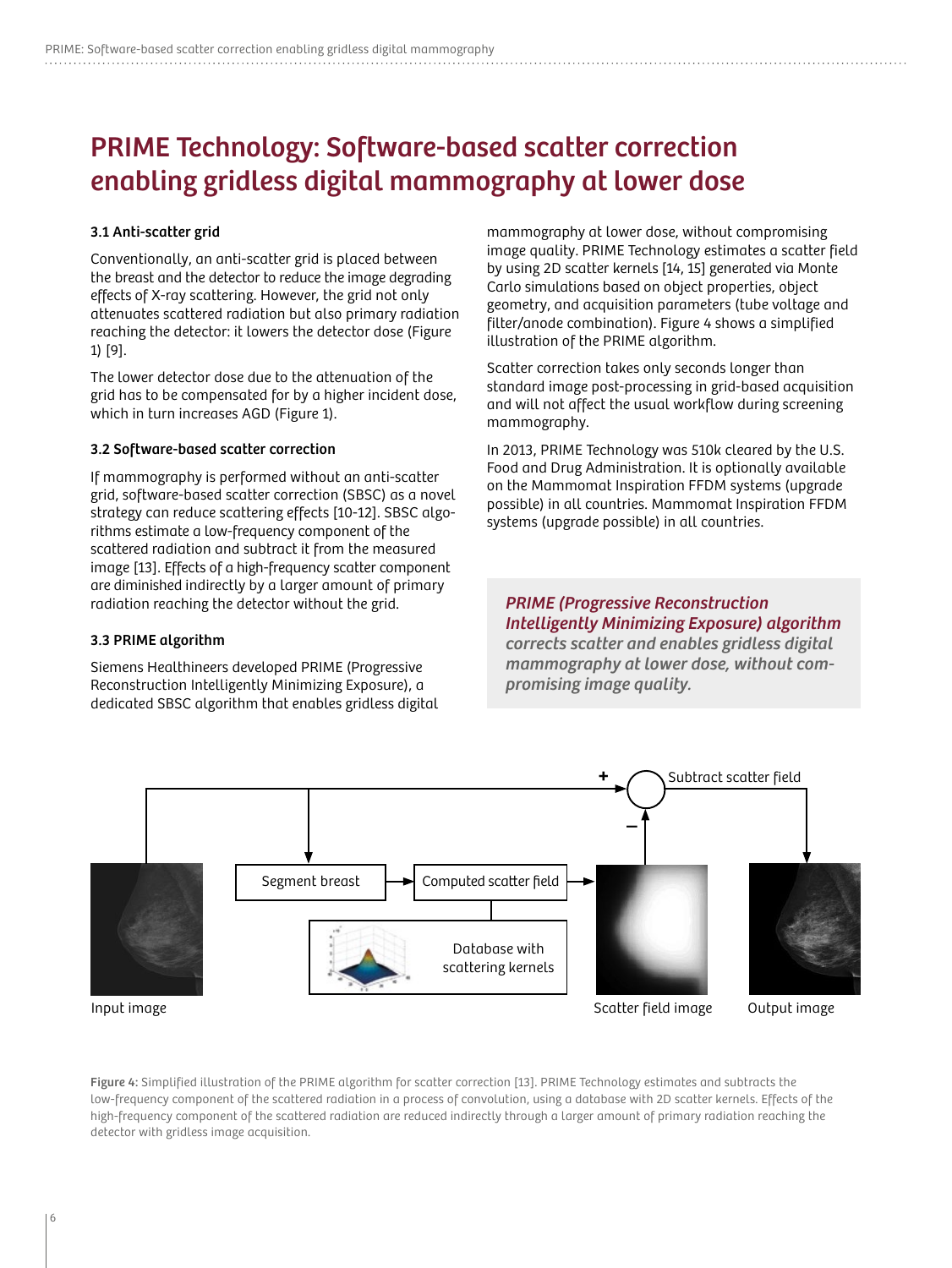### PRIME Technology: Software-based scatter correction enabling gridless digital mammography at lower dose

#### 3.1 Anti-scatter grid

Conventionally, an anti-scatter grid is placed between the breast and the detector to reduce the image degrading effects of X-ray scattering. However, the grid not only attenuates scattered radiation but also primary radiation reaching the detector: it lowers the detector dose (Figure 1) [9].

The lower detector dose due to the attenuation of the grid has to be compensated for by a higher incident dose, which in turn increases AGD (Figure 1).

#### 3.2 Software-based scatter correction

If mammography is performed without an anti-scatter grid, software-based scatter correction (SBSC) as a novel strategy can reduce scattering effects [10-12]. SBSC algorithms estimate a low-frequency component of the scattered radiation and subtract it from the measured image [13]. Effects of a high-frequency scatter component are diminished indirectly by a larger amount of primary radiation reaching the detector without the grid.

#### 3.3 PRIME algorithm

Siemens Healthineers developed PRIME (Progressive Reconstruction Intelligently Minimizing Exposure), a dedicated SBSC algorithm that enables gridless digital

mammography at lower dose, without compromising image quality. PRIME Technology estimates a scatter field by using 2D scatter kernels [14, 15] generated via Monte Carlo simulations based on object properties, object geometry, and acquisition parameters (tube voltage and filter/anode combination). Figure 4 shows a simplified illustration of the PRIME algorithm.

Scatter correction takes only seconds longer than standard image post-processing in grid-based acquisition and will not affect the usual workflow during screening mammography.

In 2013, PRIME Technology was 510k cleared by the U.S. Food and Drug Administration. It is optionally available on the Mammomat Inspiration FFDM systems (upgrade possible) in all countries. Mammomat Inspiration FFDM systems (upgrade possible) in all countries.

PRIME (Progressive Reconstruction Intelligently Minimizing Exposure) algorithm corrects scatter and enables gridless digital mammography at lower dose, without compromising image quality.



Figure 4: Simplified illustration of the PRIME algorithm for scatter correction [13]. PRIME Technology estimates and subtracts the low-frequency component of the scattered radiation in a process of convolution, using a database with 2D scatter kernels. Effects of the high-frequency component of the scattered radiation are reduced indirectly through a larger amount of primary radiation reaching the detector with gridless image acquisition.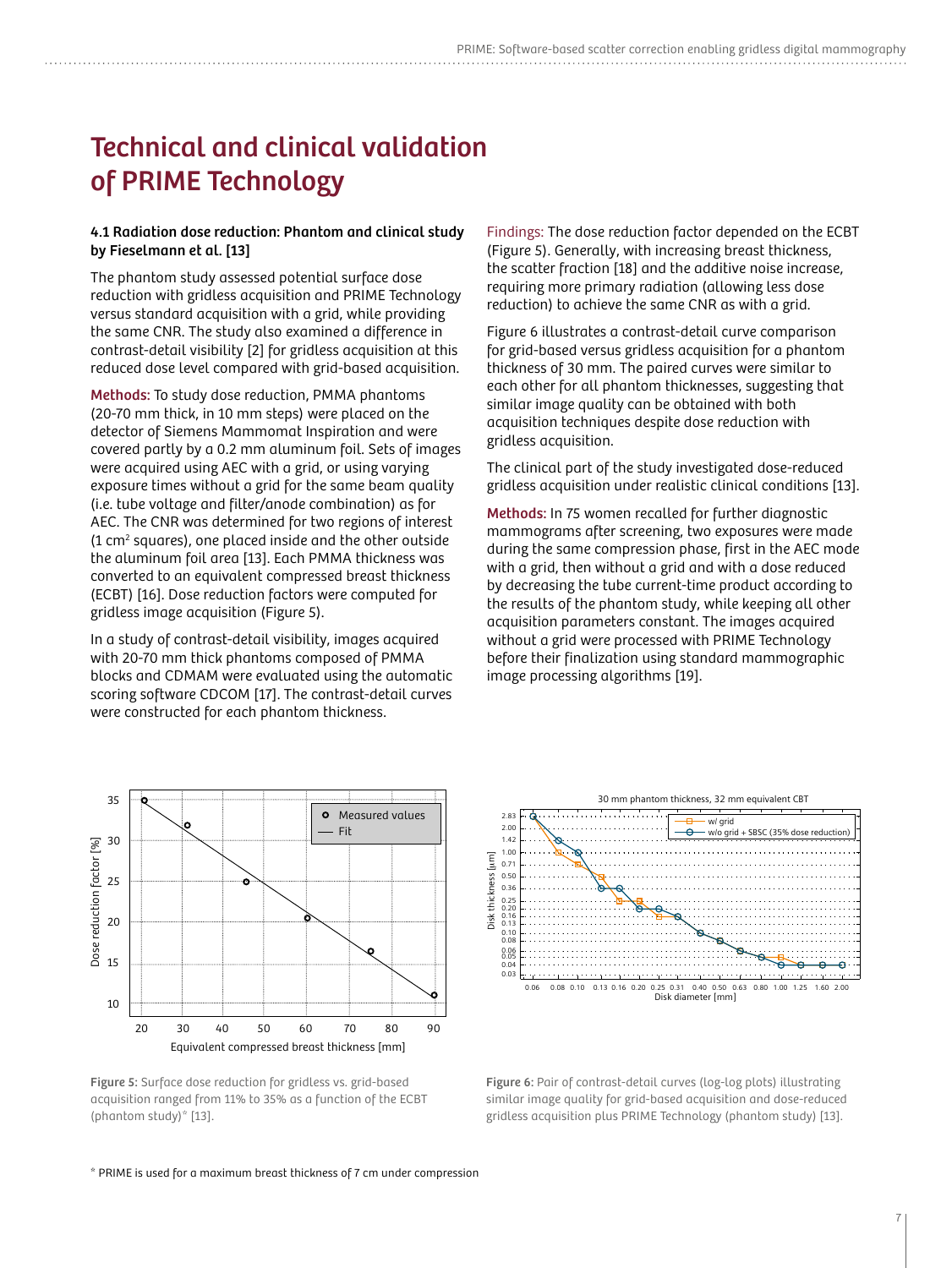## Technical and clinical validation of PRIME Technology

#### 4.1 Radiation dose reduction: Phantom and clinical study by Fieselmann et al. [13]

The phantom study assessed potential surface dose reduction with gridless acquisition and PRIME Technology versus standard acquisition with a grid, while providing the same CNR. The study also examined a difference in contrast-detail visibility [2] for gridless acquisition at this reduced dose level compared with grid-based acquisition.

Methods: To study dose reduction, PMMA phantoms (20-70 mm thick, in 10 mm steps) were placed on the detector of Siemens Mammomat Inspiration and were covered partly by a 0.2 mm aluminum foil. Sets of images were acquired using AEC with a grid, or using varying exposure times without a grid for the same beam quality (i.e. tube voltage and filter/anode combination) as for AEC. The CNR was determined for two regions of interest (1 cm2 squares), one placed inside and the other outside the aluminum foil area [13]. Each PMMA thickness was converted to an equivalent compressed breast thickness (ECBT) [16]. Dose reduction factors were computed for gridless image acquisition (Figure 5).

In a study of contrast-detail visibility, images acquired with 20-70 mm thick phantoms composed of PMMA blocks and CDMAM were evaluated using the automatic scoring software CDCOM [17]. The contrast-detail curves were constructed for each phantom thickness.



Figure 5: Surface dose reduction for gridless vs. grid-based acquisition ranged from 11% to 35% as a function of the ECBT (phantom study)\* [13].

Findings: The dose reduction factor depended on the ECBT (Figure 5). Generally, with increasing breast thickness, the scatter fraction [18] and the additive noise increase, requiring more primary radiation (allowing less dose reduction) to achieve the same CNR as with a grid.

Figure 6 illustrates a contrast-detail curve comparison for grid-based versus gridless acquisition for a phantom thickness of 30 mm. The paired curves were similar to each other for all phantom thicknesses, suggesting that similar image quality can be obtained with both acquisition techniques despite dose reduction with gridless acquisition.

The clinical part of the study investigated dose-reduced gridless acquisition under realistic clinical conditions [13].

Methods: In 75 women recalled for further diagnostic mammograms after screening, two exposures were made during the same compression phase, first in the AEC mode with a grid, then without a grid and with a dose reduced by decreasing the tube current-time product according to the results of the phantom study, while keeping all other acquisition parameters constant. The images acquired without a grid were processed with PRIME Technology before their finalization using standard mammographic image processing algorithms [19]. 0.20 0.25 w<br>b<br>ir



Figure 6: Pair of contrast-detail curves (log-log plots) illustrating similar image quality for grid-based acquisition and dose-reduced gridless acquisition plus PRIME Technology (phantom study) [13]. **Fi**<br>si<br>gr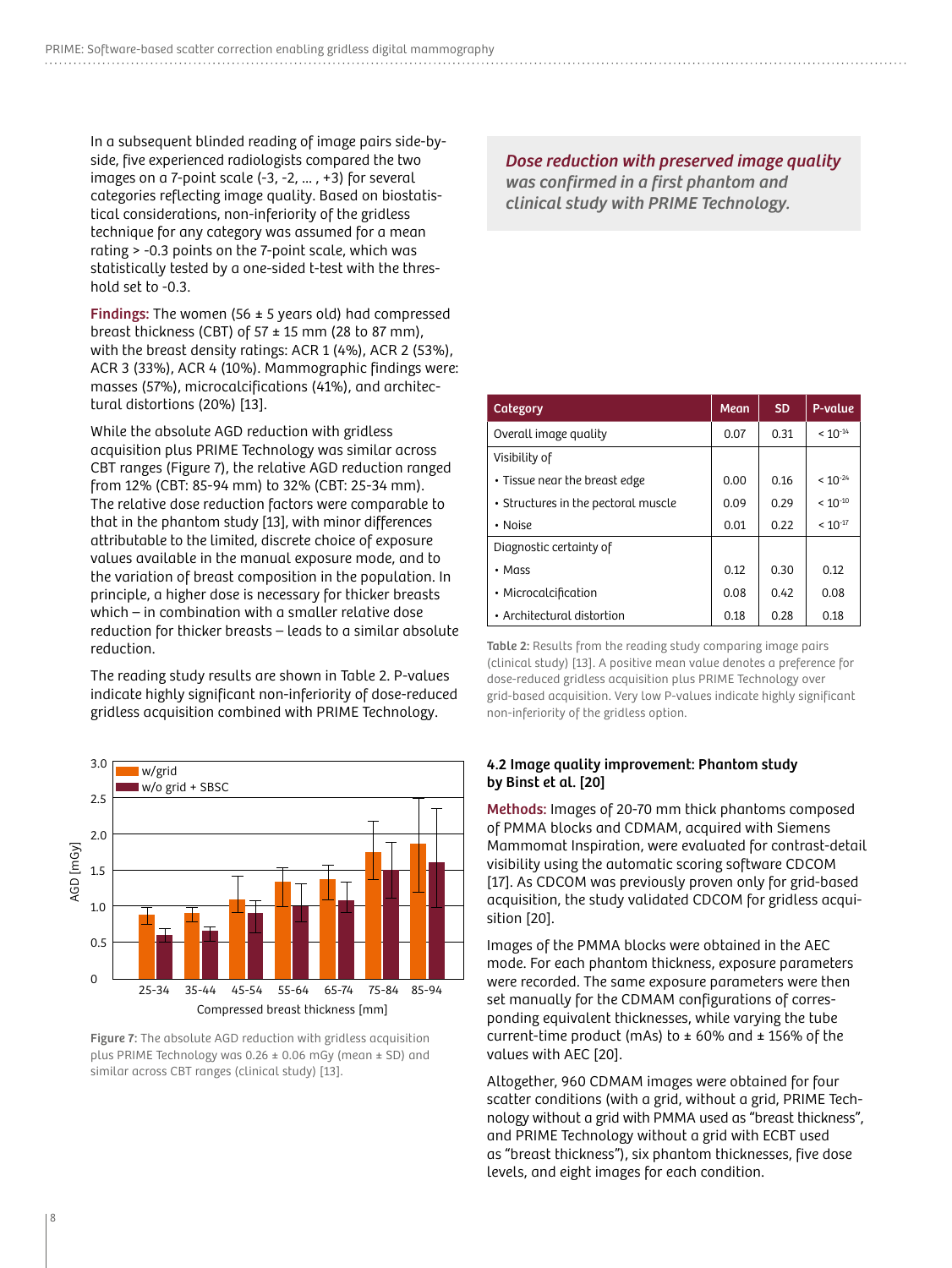In a subsequent blinded reading of image pairs side-byside, five experienced radiologists compared the two images on a 7-point scale  $(-3, -2, ..., +3)$  for several categories reflecting image quality. Based on biostatistical considerations, non-inferiority of the gridless technique for any category was assumed for a mean rating > -0.3 points on the 7-point scale, which was statistically tested by a one-sided t-test with the threshold set to -0.3.

**Findings:** The women (56  $\pm$  5 years old) had compressed breast thickness (CBT) of  $57 \pm 15$  mm (28 to 87 mm), with the breast density ratings: ACR 1 (4%), ACR 2 (53%), ACR 3 (33%), ACR 4 (10%). Mammographic findings were: masses (57%), microcalcifications (41%), and architectural distortions (20%) [13].

While the absolute AGD reduction with gridless acquisition plus PRIME Technology was similar across CBT ranges (Figure 7), the relative AGD reduction ranged from 12% (CBT: 85-94 mm) to 32% (CBT: 25-34 mm). The relative dose reduction factors were comparable to that in the phantom study [13], with minor differences attributable to the limited, discrete choice of exposure values available in the manual exposure mode, and to the variation of breast composition in the population. In principle, a higher dose is necessary for thicker breasts which – in combination with a smaller relative dose reduction for thicker breasts – leads to a similar absolute reduction.

The reading study results are shown in Table 2. P-values indicate highly significant non-inferiority of dose-reduced gridless acquisition combined with PRIME Technology.



Figure 7: The absolute AGD reduction with gridless acquisition plus PRIME Technology was 0.26 ± 0.06 mGy (mean ± SD) and similar across CBT ranges (clinical study) [13].

Dose reduction with preserved image quality was confirmed in a first phantom and clinical study with PRIME Technology.

| Category                            | <b>Mean</b> | <b>SD</b> | P-value      |
|-------------------------------------|-------------|-----------|--------------|
| Overall image quality               | 0.07        | 0.31      | $< 10^{-14}$ |
| Visibility of                       |             |           |              |
| • Tissue near the breast edge       | 0.00        | 0.16      | $< 10^{-24}$ |
| • Structures in the pectoral muscle | 0.09        | 0.29      |              |
| • Noise                             | 0.01        | 0.22      | $< 10^{-17}$ |
| Diagnostic certainty of             |             |           |              |
| • Mass                              | 0.12        | 0.30      | 0.12         |
| • Microcalcification                | 0.08        | 0.42      | 0.08         |
| • Architectural distortion          | 0.18        | 0.28      | 0.18         |

Table 2: Results from the reading study comparing image pairs (clinical study) [13]. A positive mean value denotes a preference for dose-reduced gridless acquisition plus PRIME Technology over grid-based acquisition. Very low P-values indicate highly significant non-inferiority of the gridless option.

#### 4.2 Image quality improvement: Phantom study by Binst et al. [20]

Methods: Images of 20-70 mm thick phantoms composed of PMMA blocks and CDMAM, acquired with Siemens Mammomat Inspiration, were evaluated for contrast-detail visibility using the automatic scoring software CDCOM [17]. As CDCOM was previously proven only for grid-based acquisition, the study validated CDCOM for gridless acquisition [20].

Images of the PMMA blocks were obtained in the AEC mode. For each phantom thickness, exposure parameters were recorded. The same exposure parameters were then set manually for the CDMAM configurations of corresponding equivalent thicknesses, while varying the tube current-time product (mAs) to  $\pm$  60% and  $\pm$  156% of the values with AEC [20].

Altogether, 960 CDMAM images were obtained for four scatter conditions (with a grid, without a grid, PRIME Technology without a grid with PMMA used as "breast thickness", and PRIME Technology without a grid with ECBT used as "breast thickness"), six phantom thicknesses, five dose levels, and eight images for each condition.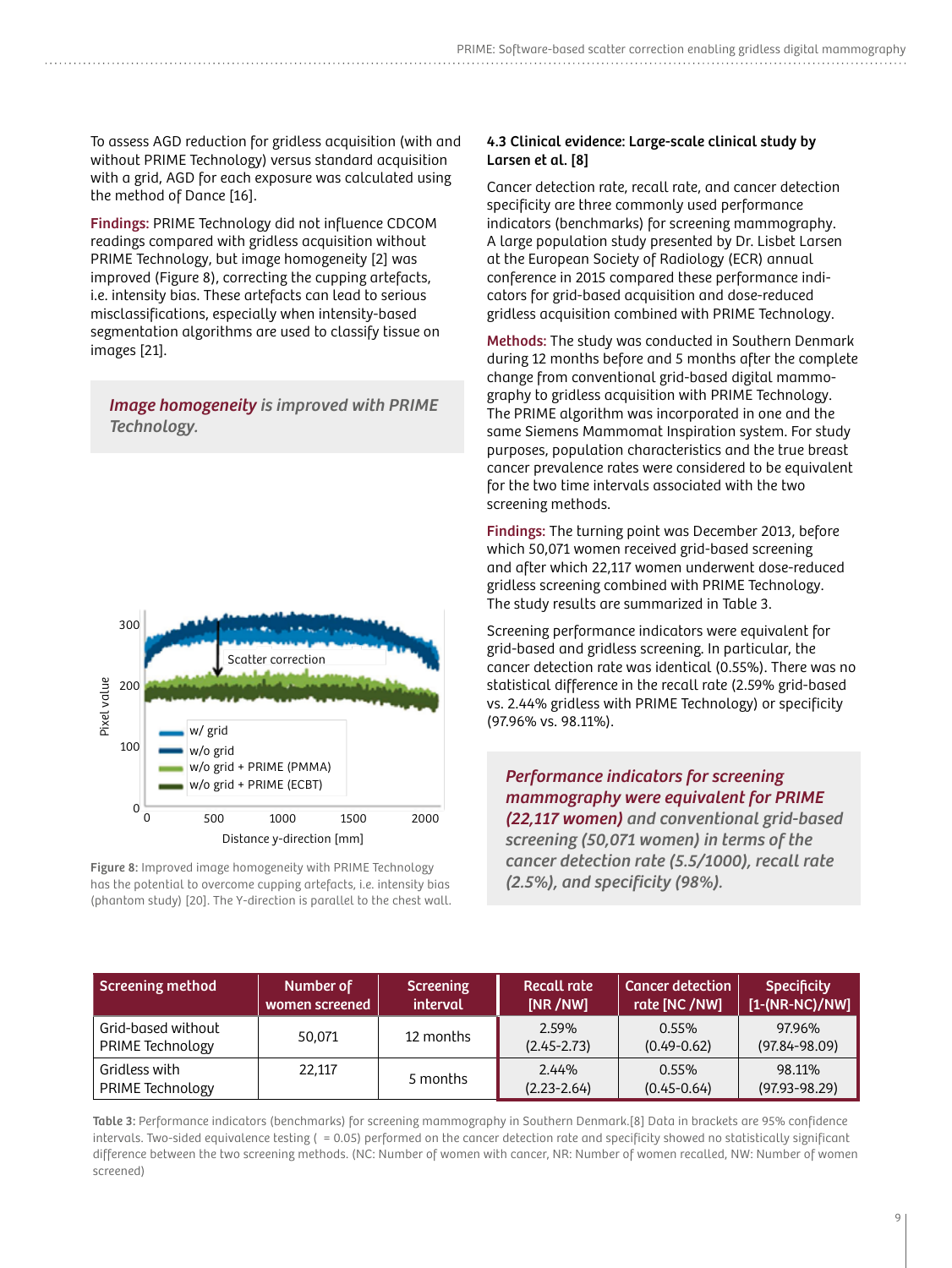To assess AGD reduction for gridless acquisition (with and without PRIME Technology) versus standard acquisition with a grid, AGD for each exposure was calculated using the method of Dance [16].

Findings: PRIME Technology did not influence CDCOM readings compared with gridless acquisition without PRIME Technology, but image homogeneity [2] was improved (Figure 8), correcting the cupping artefacts, i.e. intensity bias. These artefacts can lead to serious misclassifications, especially when intensity-based segmentation algorithms are used to classify tissue on images [21].

Image homogeneity is improved with PRIME Technology.



Figure 8: Improved image homogeneity with PRIME Technology has the potential to overcome cupping artefacts, i.e. intensity bias (phantom study) [20]. The Y-direction is parallel to the chest wall.

#### 4.3 Clinical evidence: Large-scale clinical study by Larsen et al. [8]

Cancer detection rate, recall rate, and cancer detection specificity are three commonly used performance indicators (benchmarks) for screening mammography. A large population study presented by Dr. Lisbet Larsen at the European Society of Radiology (ECR) annual conference in 2015 compared these performance indicators for grid-based acquisition and dose-reduced gridless acquisition combined with PRIME Technology.

Methods: The study was conducted in Southern Denmark during 12 months before and 5 months after the complete change from conventional grid-based digital mammography to gridless acquisition with PRIME Technology. The PRIME algorithm was incorporated in one and the same Siemens Mammomat Inspiration system. For study purposes, population characteristics and the true breast cancer prevalence rates were considered to be equivalent for the two time intervals associated with the two screening methods.

Findings: The turning point was December 2013, before which 50,071 women received grid-based screening and after which 22,117 women underwent dose-reduced gridless screening combined with PRIME Technology. The study results are summarized in Table 3.

Screening performance indicators were equivalent for grid-based and gridless screening. In particular, the cancer detection rate was identical (0.55%). There was no statistical difference in the recall rate (2.59% grid-based vs. 2.44% gridless with PRIME Technology) or specificity (97.96% vs. 98.11%).

Performance indicators for screening mammography were equivalent for PRIME (22,117 women) and conventional grid-based screening (50,071 women) in terms of the cancer detection rate (5.5/1000), recall rate (2.5%), and specificity (98%).

| <b>Screening method</b>                | Number of<br>women screened | <b>Screening</b><br>interval | <b>Recall rate</b><br>[NR /NW] | <b>Cancer detection</b><br>rate [NC /NW] | <b>Specificity</b><br>$[1-(NR-NC)/NW]$ |
|----------------------------------------|-----------------------------|------------------------------|--------------------------------|------------------------------------------|----------------------------------------|
| Grid-based without<br>PRIME Technology | 50,071                      | 12 months                    | 2.59%<br>$(2.45 - 2.73)$       | $0.55\%$<br>$(0.49 - 0.62)$              | 97.96%<br>$(97.84 - 98.09)$            |
| Gridless with<br>PRIME Technology      | 22,117                      | 5 months                     | 2.44%<br>$(2.23 - 2.64)$       | 0.55%<br>$(0.45 - 0.64)$                 | 98.11%<br>$(97.93 - 98.29)$            |

Table 3: Performance indicators (benchmarks) for screening mammography in Southern Denmark.[8] Data in brackets are 95% confidence intervals. Two-sided equivalence testing ( $= 0.05$ ) performed on the cancer detection rate and specificity showed no statistically significant difference between the two screening methods. (NC: Number of women with cancer, NR: Number of women recalled, NW: Number of women screened)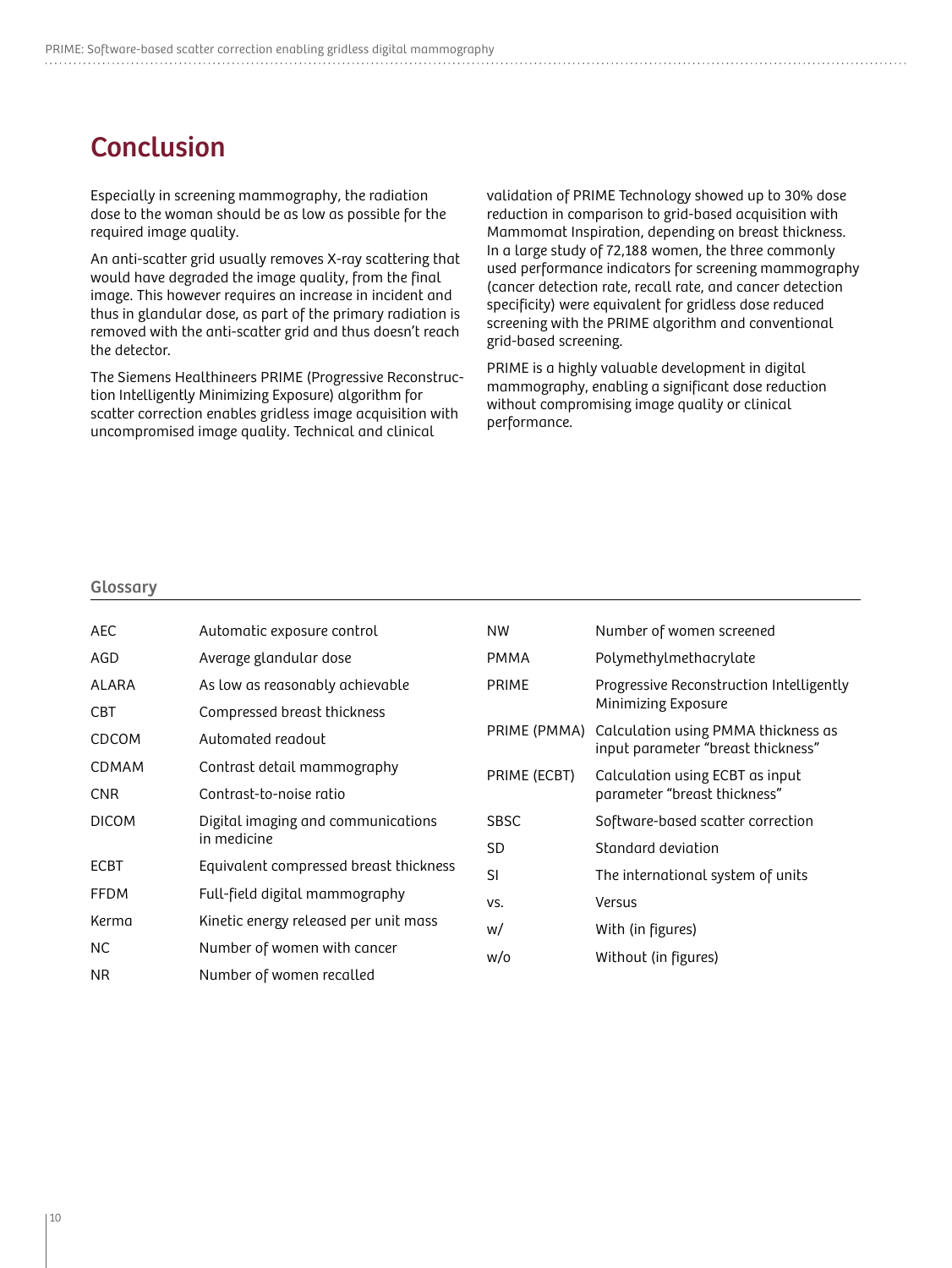### Conclusion

Especially in screening mammography, the radiation dose to the woman should be as low as possible for the required image quality.

An anti-scatter grid usually removes X-ray scattering that would have degraded the image quality, from the final image. This however requires an increase in incident and thus in glandular dose, as part of the primary radiation is removed with the anti-scatter grid and thus doesn't reach the detector.

The Siemens Healthineers PRIME (Progressive Reconstruction Intelligently Minimizing Exposure) algorithm for scatter correction enables gridless image acquisition with uncompromised image quality. Technical and clinical

validation of PRIME Technology showed up to 30% dose reduction in comparison to grid-based acquisition with Mammomat Inspiration, depending on breast thickness. In a large study of 72,188 women, the three commonly used performance indicators for screening mammography (cancer detection rate, recall rate, and cancer detection specificity) were equivalent for gridless dose reduced screening with the PRIME algorithm and conventional grid-based screening.

PRIME is a highly valuable development in digital mammography, enabling a significant dose reduction without compromising image quality or clinical performance.

#### Glossary

| <b>AEC</b>   | Automatic exposure control                        | <b>NW</b>    | Number of women screened                                                  |
|--------------|---------------------------------------------------|--------------|---------------------------------------------------------------------------|
| AGD          | Average glandular dose                            | <b>PMMA</b>  | Polymethylmethacrylate                                                    |
| ALARA        | As low as reasonably achievable                   | <b>PRIME</b> | Progressive Reconstruction Intelligently<br>Minimizing Exposure           |
| <b>CBT</b>   | Compressed breast thickness                       |              |                                                                           |
| <b>CDCOM</b> | Automated readout                                 | PRIME (PMMA) | Calculation using PMMA thickness as<br>input parameter "breast thickness" |
| <b>CDMAM</b> | Contrast detail mammography                       | PRIME (ECBT) | Calculation using ECBT as input<br>parameter "breast thickness"           |
| <b>CNR</b>   | Contrast-to-noise ratio                           |              |                                                                           |
| <b>DICOM</b> | Digital imaging and communications<br>in medicine | <b>SBSC</b>  | Software-based scatter correction                                         |
|              |                                                   | <b>SD</b>    | Standard deviation                                                        |
| <b>ECBT</b>  | Equivalent compressed breast thickness            | <b>SI</b>    | The international system of units                                         |
| <b>FFDM</b>  | Full-field digital mammography                    | VS.          | Versus                                                                    |
| Kerma        | Kinetic energy released per unit mass             | w/           | With (in figures)                                                         |
| NC.          | Number of women with cancer                       | w/o          | Without (in figures)                                                      |
| NR.          | Number of women recalled                          |              |                                                                           |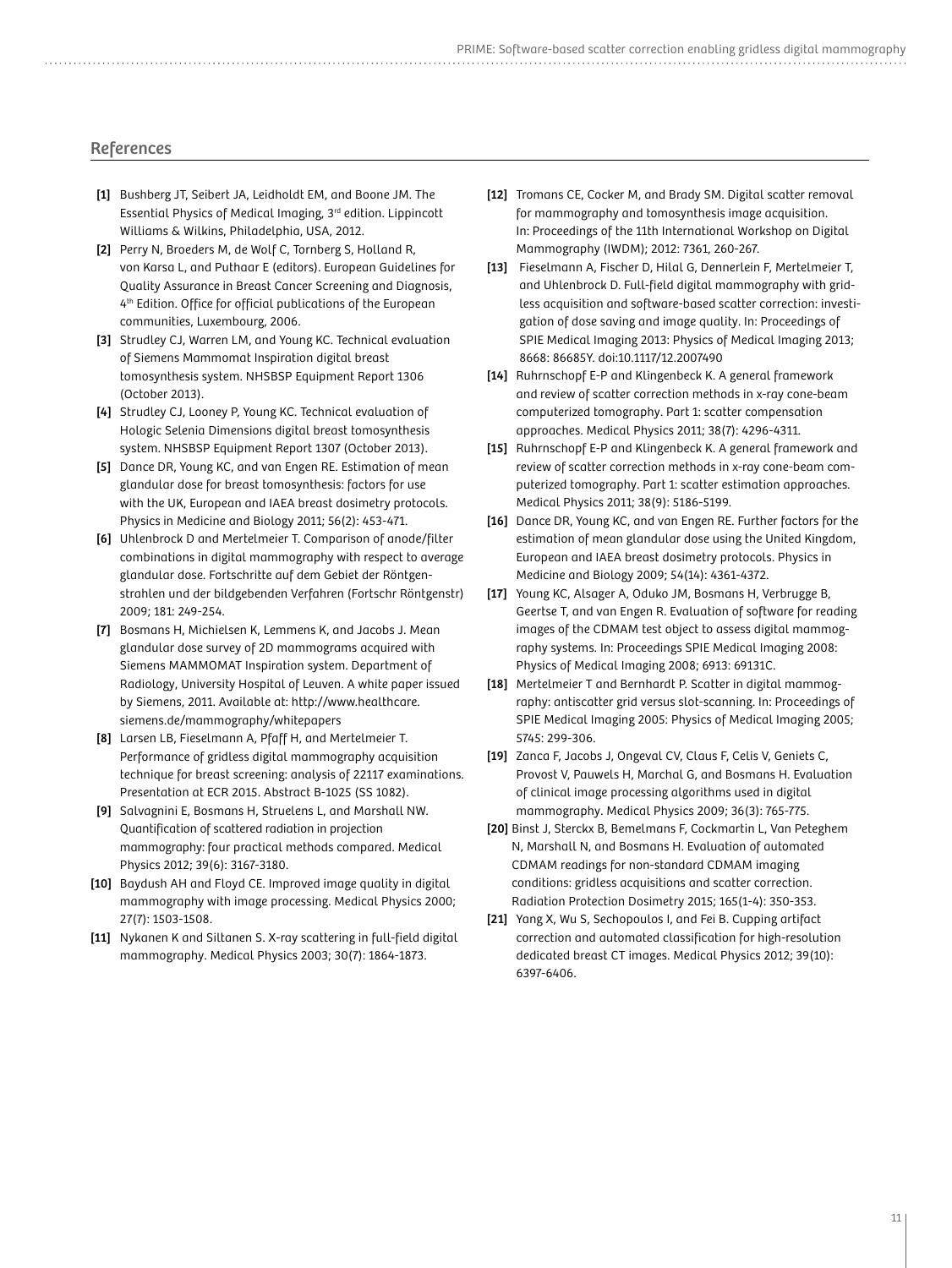#### References

- [1] Bushberg JT, Seibert JA, Leidholdt EM, and Boone JM. The Essential Physics of Medical Imaging, 3rd edition. Lippincott Williams & Wilkins, Philadelphia, USA, 2012.
- [2] Perry N, Broeders M, de Wolf C, Tornberg S, Holland R, von Karsa L, and Puthaar E (editors). European Guidelines for Quality Assurance in Breast Cancer Screening and Diagnosis, 4<sup>th</sup> Edition. Office for official publications of the European communities, Luxembourg, 2006.
- [3] Strudley CJ, Warren LM, and Young KC. Technical evaluation of Siemens Mammomat Inspiration digital breast tomosynthesis system. NHSBSP Equipment Report 1306 (October 2013).
- [4] Strudley CJ, Looney P, Young KC. Technical evaluation of Hologic Selenia Dimensions digital breast tomosynthesis system. NHSBSP Equipment Report 1307 (October 2013).
- [5] Dance DR, Young KC, and van Engen RE. Estimation of mean glandular dose for breast tomosynthesis: factors for use with the UK, European and IAEA breast dosimetry protocols. Physics in Medicine and Biology 2011; 56(2): 453-471.
- [6] Uhlenbrock D and Mertelmeier T. Comparison of anode/filter combinations in digital mammography with respect to average glandular dose. Fortschritte auf dem Gebiet der Röntgenstrahlen und der bildgebenden Verfahren (Fortschr Röntgenstr) 2009; 181: 249-254.
- [7] Bosmans H, Michielsen K, Lemmens K, and Jacobs J. Mean glandular dose survey of 2D mammograms acquired with Siemens MAMMOMAT Inspiration system. Department of Radiology, University Hospital of Leuven. A white paper issued by Siemens, 2011. Available at: http://www.healthcare. siemens.de/mammography/whitepapers
- [8] Larsen LB, Fieselmann A, Pfaff H, and Mertelmeier T. Performance of gridless digital mammography acquisition technique for breast screening: analysis of 22117 examinations. Presentation at ECR 2015. Abstract B-1025 (SS 1082).
- [9] Salvagnini E, Bosmans H, Struelens L, and Marshall NW. Quantification of scattered radiation in projection mammography: four practical methods compared. Medical Physics 2012; 39(6): 3167-3180.
- [10] Baydush AH and Floyd CE. Improved image quality in digital mammography with image processing. Medical Physics 2000; 27(7): 1503-1508.
- [11] Nykanen K and Siltanen S. X-ray scattering in full-field digital mammography. Medical Physics 2003; 30(7): 1864-1873.
- [12] Tromans CE, Cocker M, and Brady SM. Digital scatter removal for mammography and tomosynthesis image acquisition. In: Proceedings of the 11th International Workshop on Digital Mammography (IWDM); 2012: 7361, 260-267.
- [13] Fieselmann A, Fischer D, Hilal G, Dennerlein F, Mertelmeier T, and Uhlenbrock D. Full-field digital mammography with gridless acquisition and software-based scatter correction: investigation of dose saving and image quality. In: Proceedings of SPIE Medical Imaging 2013: Physics of Medical Imaging 2013; 8668: 86685Y. doi:10.1117/12.2007490
- [14] Ruhrnschopf E-P and Klingenbeck K. A general framework and review of scatter correction methods in x-ray cone-beam computerized tomography. Part 1: scatter compensation approaches. Medical Physics 2011; 38(7): 4296-4311.
- [15] Ruhrnschopf E-P and Klingenbeck K. A general framework and review of scatter correction methods in x-ray cone-beam computerized tomography. Part 1: scatter estimation approaches. Medical Physics 2011; 38(9): 5186-5199.
- [16] Dance DR, Young KC, and van Engen RE. Further factors for the estimation of mean glandular dose using the United Kingdom, European and IAEA breast dosimetry protocols. Physics in Medicine and Biology 2009; 54(14): 4361-4372.
- [17] Young KC, Alsager A, Oduko JM, Bosmans H, Verbrugge B, Geertse T, and van Engen R. Evaluation of software for reading images of the CDMAM test object to assess digital mammography systems. In: Proceedings SPIE Medical Imaging 2008: Physics of Medical Imaging 2008; 6913: 69131C.
- [18] Mertelmeier T and Bernhardt P. Scatter in digital mammography: antiscatter grid versus slot-scanning. In: Proceedings of SPIE Medical Imaging 2005: Physics of Medical Imaging 2005; 5745: 299-306.
- [19] Zanca F, Jacobs J, Ongeval CV, Claus F, Celis V, Geniets C, Provost V, Pauwels H, Marchal G, and Bosmans H. Evaluation of clinical image processing algorithms used in digital mammography. Medical Physics 2009; 36(3): 765-775.
- [20] Binst J, Sterckx B, Bemelmans F, Cockmartin L, Van Peteghem N, Marshall N, and Bosmans H. Evaluation of automated CDMAM readings for non-standard CDMAM imaging conditions: gridless acquisitions and scatter correction. Radiation Protection Dosimetry 2015; 165(1-4): 350-353.
- [21] Yang X, Wu S, Sechopoulos I, and Fei B. Cupping artifact correction and automated classification for high-resolution dedicated breast CT images. Medical Physics 2012; 39(10): 6397-6406.